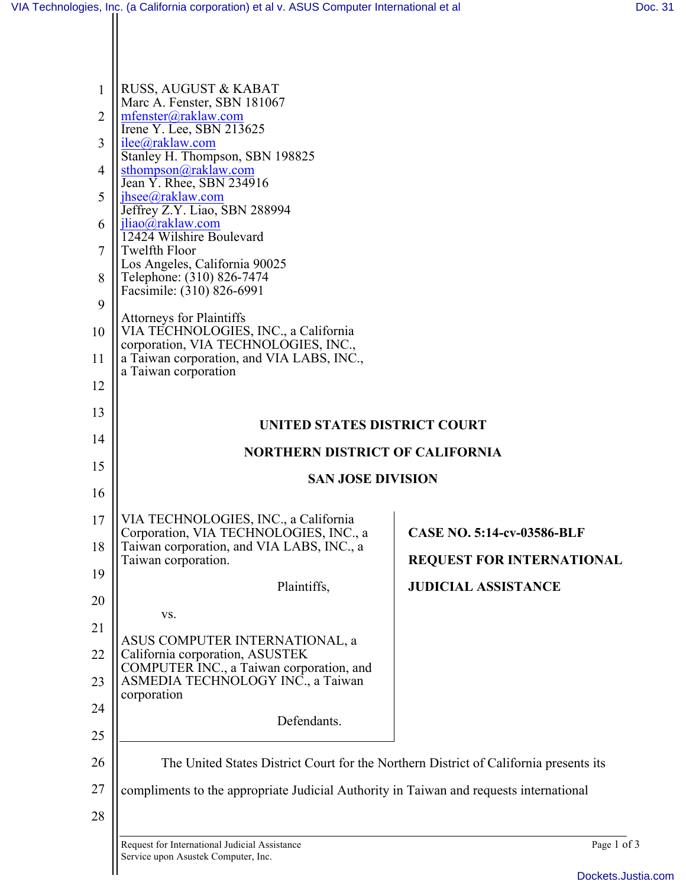| 1              | RUSS, AUGUST & KABAT                                                                                       |                                   |
|----------------|------------------------------------------------------------------------------------------------------------|-----------------------------------|
| $\overline{2}$ | Marc A. Fenster, SBN 181067<br>mfenster@raklaw.com<br>Irene Y. Lee, SBN 213625                             |                                   |
| 3              | ilee@raklaw.com<br>Stanley H. Thompson, SBN 198825                                                         |                                   |
| 4              | sthompson@raklaw.com<br>Jean Y. Rhee, SBN 234916                                                           |                                   |
| 5              | $i$ hsee $@$ raklaw.com<br>Jeffrey Z.Y. Liao, SBN 288994                                                   |                                   |
| 6              | jliao@raklaw.com<br>12424 Wilshire Boulevard                                                               |                                   |
| 7              | <b>Twelfth Floor</b><br>Los Angeles, California 90025                                                      |                                   |
| 8              | Telephone: (310) 826-7474<br>Facsimile: (310) 826-6991                                                     |                                   |
| 9              | <b>Attorneys for Plaintiffs</b>                                                                            |                                   |
| 10             | VIA TECHNOLOGIES, INC., a California<br>corporation, VIA TECHNOLOGIES, INC.,                               |                                   |
| 11             | a Taiwan corporation, and VIA LABS, INC.,<br>a Taiwan corporation                                          |                                   |
| 12             |                                                                                                            |                                   |
| 13             | UNITED STATES DISTRICT COURT                                                                               |                                   |
| 14             | <b>NORTHERN DISTRICT OF CALIFORNIA</b>                                                                     |                                   |
| 15             | <b>SAN JOSE DIVISION</b>                                                                                   |                                   |
| 16             |                                                                                                            |                                   |
|                |                                                                                                            |                                   |
| 17             | VIA TECHNOLOGIES, INC., a California                                                                       | <b>CASE NO. 5:14-cv-03586-BLF</b> |
| 18             | Corporation, VIA TECHNOLOGIES, INC., a<br>Taiwan corporation, and VIA LABS, INC., a<br>Taiwan corporation. | <b>REQUEST FOR INTERNATIONAL</b>  |
| 19             | Plaintiffs,                                                                                                | <b>JUDICIAL ASSISTANCE</b>        |
| 20             | VS.                                                                                                        |                                   |
| 21             | ASUS COMPUTER INTERNATIONAL, a                                                                             |                                   |
| 22             | California corporation, ASUSTEK<br>COMPUTER INC., a Taiwan corporation, and                                |                                   |
| 23             | ASMEDIA TECHNOLOGY INC., a Taiwan<br>corporation                                                           |                                   |
| 24             | Defendants.                                                                                                |                                   |
| 25             |                                                                                                            |                                   |
| 26             | The United States District Court for the Northern District of California presents its                      |                                   |
| 27<br>28       | compliments to the appropriate Judicial Authority in Taiwan and requests international                     |                                   |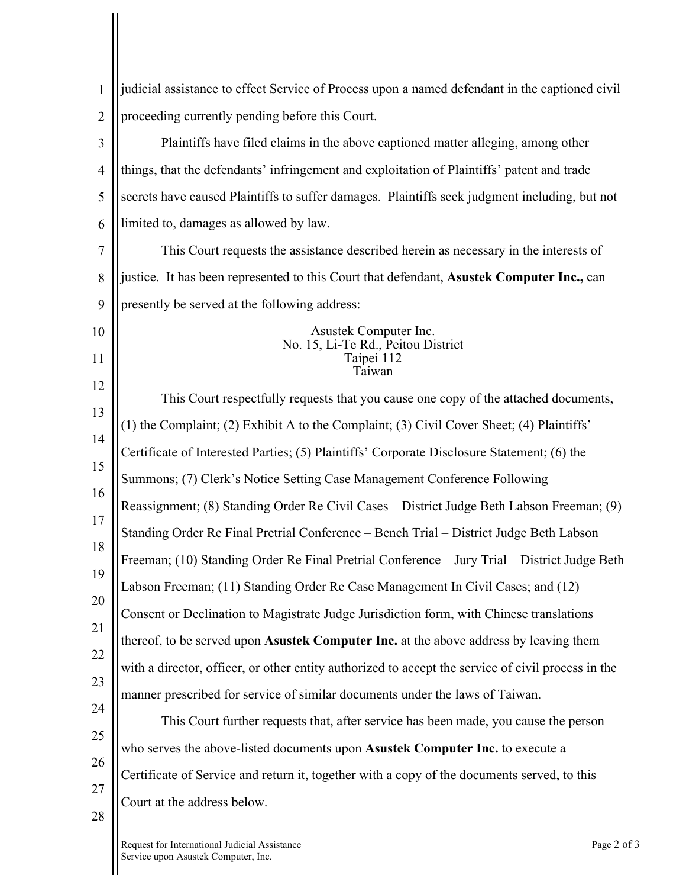| 1              | judicial assistance to effect Service of Process upon a named defendant in the captioned civil     |
|----------------|----------------------------------------------------------------------------------------------------|
| $\overline{2}$ | proceeding currently pending before this Court.                                                    |
| 3              | Plaintiffs have filed claims in the above captioned matter alleging, among other                   |
| $\overline{4}$ | things, that the defendants' infringement and exploitation of Plaintiffs' patent and trade         |
| 5              | secrets have caused Plaintiffs to suffer damages. Plaintiffs seek judgment including, but not      |
| 6              | limited to, damages as allowed by law.                                                             |
| 7              | This Court requests the assistance described herein as necessary in the interests of               |
| 8              | justice. It has been represented to this Court that defendant, Asustek Computer Inc., can          |
| 9              | presently be served at the following address:                                                      |
| 10             | Asustek Computer Inc.<br>No. 15, Li-Te Rd., Peitou District                                        |
| 11             | Taipei 112<br>Faiwan                                                                               |
| 12             | This Court respectfully requests that you cause one copy of the attached documents,                |
| 13             | (1) the Complaint; (2) Exhibit A to the Complaint; (3) Civil Cover Sheet; (4) Plaintiffs'          |
| 14             | Certificate of Interested Parties; (5) Plaintiffs' Corporate Disclosure Statement; (6) the         |
| 15             | Summons; (7) Clerk's Notice Setting Case Management Conference Following                           |
| 16             | Reassignment; (8) Standing Order Re Civil Cases – District Judge Beth Labson Freeman; (9)          |
| 17             | Standing Order Re Final Pretrial Conference – Bench Trial – District Judge Beth Labson             |
| 18             | Freeman; (10) Standing Order Re Final Pretrial Conference – Jury Trial – District Judge Beth       |
| 19             | Labson Freeman; (11) Standing Order Re Case Management In Civil Cases; and (12)                    |
| 20             | Consent or Declination to Magistrate Judge Jurisdiction form, with Chinese translations            |
| 21             | thereof, to be served upon Asustek Computer Inc. at the above address by leaving them              |
| 22             | with a director, officer, or other entity authorized to accept the service of civil process in the |
| 23             | manner prescribed for service of similar documents under the laws of Taiwan.                       |
| 24             | This Court further requests that, after service has been made, you cause the person                |
| 25             | who serves the above-listed documents upon Asustek Computer Inc. to execute a                      |
| 26             | Certificate of Service and return it, together with a copy of the documents served, to this        |
| 27             | Court at the address below.                                                                        |
| 28             |                                                                                                    |